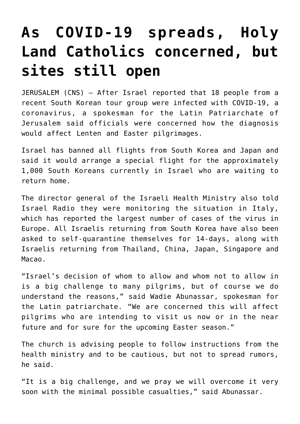## **[As COVID-19 spreads, Holy](https://www.osvnews.com/2020/02/24/as-covid-19-spreads-holy-land-catholics-concerned-but-sites-still-open/) [Land Catholics concerned, but](https://www.osvnews.com/2020/02/24/as-covid-19-spreads-holy-land-catholics-concerned-but-sites-still-open/) [sites still open](https://www.osvnews.com/2020/02/24/as-covid-19-spreads-holy-land-catholics-concerned-but-sites-still-open/)**

JERUSALEM (CNS) — After Israel reported that 18 people from a recent South Korean tour group were infected with COVID-19, a coronavirus, a spokesman for the Latin Patriarchate of Jerusalem said officials were concerned how the diagnosis would affect Lenten and Easter pilgrimages.

Israel has banned all flights from South Korea and Japan and said it would arrange a special flight for the approximately 1,000 South Koreans currently in Israel who are waiting to return home.

The director general of the Israeli Health Ministry also told Israel Radio they were monitoring the situation in Italy, which has reported the largest number of cases of the virus in Europe. All Israelis returning from South Korea have also been asked to self-quarantine themselves for 14-days, along with Israelis returning from Thailand, China, Japan, Singapore and Macao.

"Israel's decision of whom to allow and whom not to allow in is a big challenge to many pilgrims, but of course we do understand the reasons," said Wadie Abunassar, spokesman for the Latin patriarchate. "We are concerned this will affect pilgrims who are intending to visit us now or in the near future and for sure for the upcoming Easter season."

The church is advising people to follow instructions from the health ministry and to be cautious, but not to spread rumors, he said.

"It is a big challenge, and we pray we will overcome it very soon with the minimal possible casualties," said Abunassar.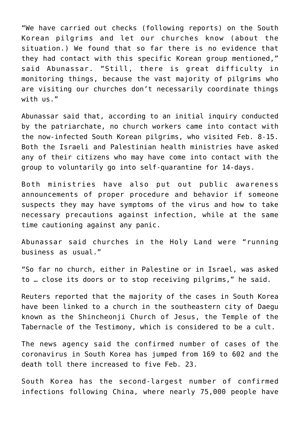"We have carried out checks (following reports) on the South Korean pilgrims and let our churches know (about the situation.) We found that so far there is no evidence that they had contact with this specific Korean group mentioned," said Abunassar. "Still, there is great difficulty in monitoring things, because the vast majority of pilgrims who are visiting our churches don't necessarily coordinate things with us."

Abunassar said that, according to an initial inquiry conducted by the patriarchate, no church workers came into contact with the now-infected South Korean pilgrims, who visited Feb. 8-15. Both the Israeli and Palestinian health ministries have asked any of their citizens who may have come into contact with the group to voluntarily go into self-quarantine for 14-days.

Both ministries have also put out public awareness announcements of proper procedure and behavior if someone suspects they may have symptoms of the virus and how to take necessary precautions against infection, while at the same time cautioning against any panic.

Abunassar said churches in the Holy Land were "running business as usual."

"So far no church, either in Palestine or in Israel, was asked to … close its doors or to stop receiving pilgrims," he said.

Reuters reported that the majority of the cases in South Korea have been linked to a church in the southeastern city of Daegu known as the Shincheonji Church of Jesus, the Temple of the Tabernacle of the Testimony, which is considered to be a cult.

The news agency said the confirmed number of cases of the coronavirus in South Korea has jumped from 169 to 602 and the death toll there increased to five Feb. 23.

South Korea has the second-largest number of confirmed infections following China, where nearly 75,000 people have